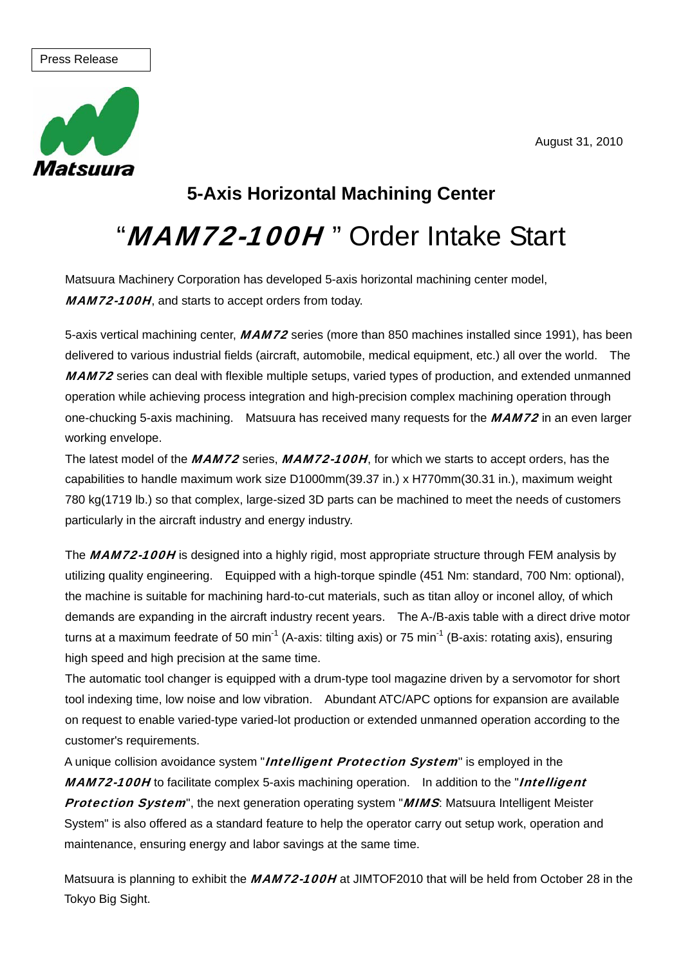August 31, 2010

#### Press Release



## **5-Axis Horizontal Machining Center**

# "MAM72-100H" Order Intake Start

Matsuura Machinery Corporation has developed 5-axis horizontal machining center model, MAM72-100H, and starts to accept orders from today.

5-axis vertical machining center, MAM72 series (more than 850 machines installed since 1991), has been delivered to various industrial fields (aircraft, automobile, medical equipment, etc.) all over the world. The MAM72 series can deal with flexible multiple setups, varied types of production, and extended unmanned operation while achieving process integration and high-precision complex machining operation through one-chucking 5-axis machining. Matsuura has received many requests for the MAM72 in an even larger working envelope.

The latest model of the MAM72 series, MAM72-100H, for which we starts to accept orders, has the capabilities to handle maximum work size D1000mm(39.37 in.) x H770mm(30.31 in.), maximum weight 780 kg(1719 lb.) so that complex, large-sized 3D parts can be machined to meet the needs of customers particularly in the aircraft industry and energy industry.

The MAM72-100H is designed into a highly rigid, most appropriate structure through FEM analysis by utilizing quality engineering. Equipped with a high-torque spindle (451 Nm: standard, 700 Nm: optional), the machine is suitable for machining hard-to-cut materials, such as titan alloy or inconel alloy, of which demands are expanding in the aircraft industry recent years. The A-/B-axis table with a direct drive motor turns at a maximum feedrate of 50 min<sup>-1</sup> (A-axis: tilting axis) or 75 min<sup>-1</sup> (B-axis: rotating axis), ensuring high speed and high precision at the same time.

The automatic tool changer is equipped with a drum-type tool magazine driven by a servomotor for short tool indexing time, low noise and low vibration. Abundant ATC/APC options for expansion are available on request to enable varied-type varied-lot production or extended unmanned operation according to the customer's requirements.

A unique collision avoidance system "*Intelligent Protection System*" is employed in the MAM72-100H to facilitate complex 5-axis machining operation. In addition to the "Intelligent Protection System", the next generation operating system "MIMS: Matsuura Intelligent Meister System" is also offered as a standard feature to help the operator carry out setup work, operation and maintenance, ensuring energy and labor savings at the same time.

Matsuura is planning to exhibit the MAM72-100H at JIMTOF2010 that will be held from October 28 in the **Tokyo Big Sight.**